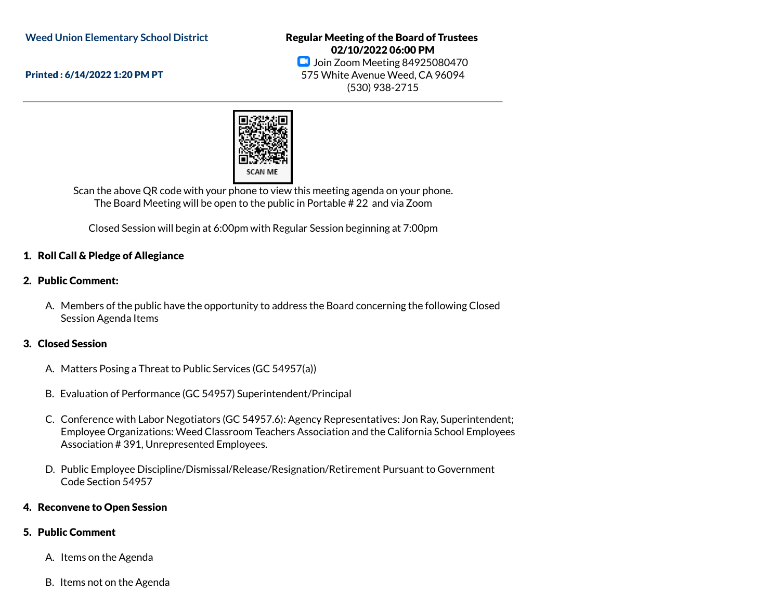**Weed Union Elementary School District**

Printed : 6/14/2022 1:20 PM PT

Regular Meeting of the Board of Trustees 02/10/2022 06:00 PM **D** Join Zoom Meeting 84925080470 575 White Avenue Weed, CA 96094 (530) 938-2715



Scan the above QR code with your phone to view this meeting agenda on your phone. The Board Meeting will be open to the public in Portable # 22 and via Zoom

Closed Session will begin at 6:00pm with Regular Session beginning at 7:00pm

# 1. Roll Call & Pledge of Allegiance

# 2. Public Comment:

A. Members of the public have the opportunity to address the Board concerning the following Closed Session Agenda Items

# 3. Closed Session

- A. Matters Posing a Threat to Public Services (GC 54957(a))
- B. Evaluation of Performance (GC 54957) Superintendent/Principal
- C. Conference with Labor Negotiators (GC 54957.6): Agency Representatives: Jon Ray, Superintendent; Employee Organizations: Weed Classroom Teachers Association and the California School Employees Association # 391, Unrepresented Employees.
- D. Public Employee Discipline/Dismissal/Release/Resignation/Retirement Pursuant to Government Code Section 54957

# 4. Reconvene to Open Session

# 5. Public Comment

- A. Items on the Agenda
- B. Items not on the Agenda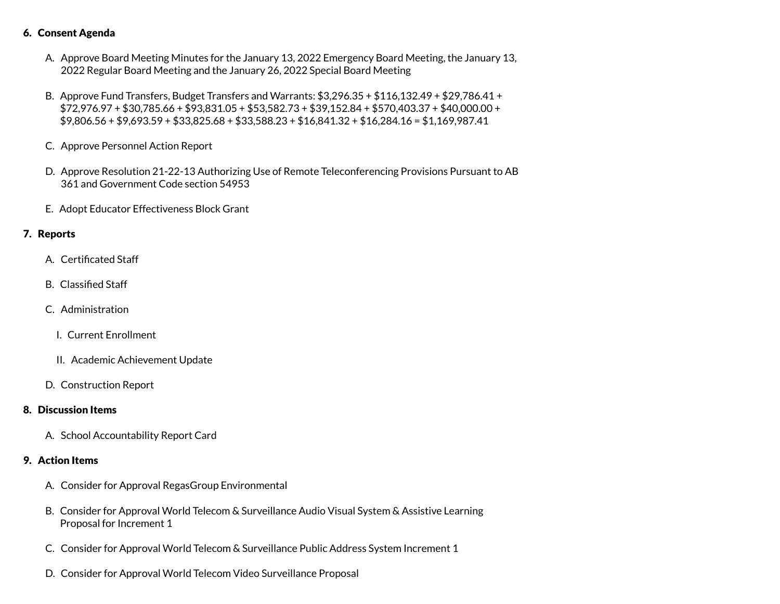#### 6. Consent Agenda

- A. Approve Board Meeting Minutes for the January 13, 2022 Emergency Board Meeting, the January 13, 2022 Regular Board Meeting and the January 26, 2022 Special Board Meeting
- B. Approve Fund Transfers, Budget Transfers and Warrants: \$3,296.35 + \$116,132.49 + \$29,786.41 + \$72,976.97 + \$30,785.66 + \$93,831.05 + \$53,582.73 + \$39,152.84 + \$570,403.37 + \$40,000.00 + \$9,806.56 + \$9,693.59 + \$33,825.68 + \$33,588.23 + \$16,841.32 + \$16,284.16 = \$1,169,987.41
- C. Approve Personnel Action Report
- D. Approve Resolution 21-22-13 Authorizing Use of Remote Teleconferencing Provisions Pursuant to AB 361 and Government Code section 54953
- E. Adopt Educator Effectiveness Block Grant

#### 7. Reports

- A. Certificated Staff
- B. Classified Staff
- C. Administration
	- I. Current Enrollment
	- II. Academic Achievement Update
- D. Construction Report

#### 8. Discussion Items

A. School Accountability Report Card

### 9. Action Items

- A. Consider for Approval RegasGroup Environmental
- B. Consider for Approval World Telecom & Surveillance Audio Visual System & Assistive Learning Proposal for Increment 1
- C. Consider for Approval World Telecom & Surveillance Public Address System Increment 1
- D. Consider for Approval World Telecom Video Surveillance Proposal